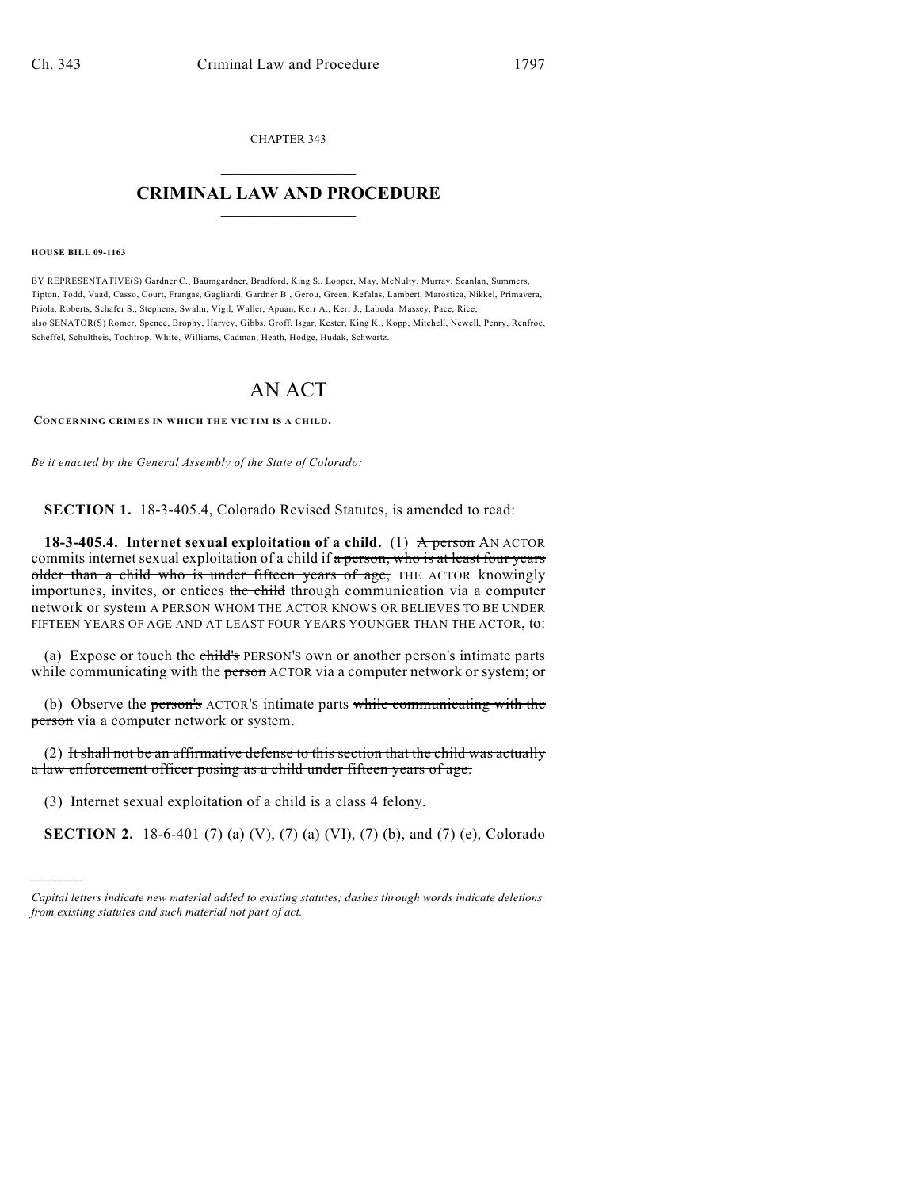CHAPTER 343  $\overline{\phantom{a}}$  . The set of the set of the set of the set of the set of the set of the set of the set of the set of the set of the set of the set of the set of the set of the set of the set of the set of the set of the set o

## **CRIMINAL LAW AND PROCEDURE**  $\frac{1}{2}$  ,  $\frac{1}{2}$  ,  $\frac{1}{2}$  ,  $\frac{1}{2}$  ,  $\frac{1}{2}$  ,  $\frac{1}{2}$  ,  $\frac{1}{2}$

**HOUSE BILL 09-1163**

)))))

BY REPRESENTATIVE(S) Gardner C., Baumgardner, Bradford, King S., Looper, May, McNulty, Murray, Scanlan, Summers, Tipton, Todd, Vaad, Casso, Court, Frangas, Gagliardi, Gardner B., Gerou, Green, Kefalas, Lambert, Marostica, Nikkel, Primavera, Priola, Roberts, Schafer S., Stephens, Swalm, Vigil, Waller, Apuan, Kerr A., Kerr J., Labuda, Massey, Pace, Rice; also SENATOR(S) Romer, Spence, Brophy, Harvey, Gibbs, Groff, Isgar, Kester, King K., Kopp, Mitchell, Newell, Penry, Renfroe, Scheffel, Schultheis, Tochtrop, White, Williams, Cadman, Heath, Hodge, Hudak, Schwartz.

## AN ACT

**CONCERNING CRIMES IN WHICH THE VICTIM IS A CHILD.**

*Be it enacted by the General Assembly of the State of Colorado:*

**SECTION 1.** 18-3-405.4, Colorado Revised Statutes, is amended to read:

**18-3-405.4. Internet sexual exploitation of a child.** (1) **A person** AN ACTOR commits internet sexual exploitation of a child if a person, who is at least four years older than a child who is under fifteen years of age, THE ACTOR knowingly importunes, invites, or entices the child through communication via a computer network or system A PERSON WHOM THE ACTOR KNOWS OR BELIEVES TO BE UNDER FIFTEEN YEARS OF AGE AND AT LEAST FOUR YEARS YOUNGER THAN THE ACTOR, to:

(a) Expose or touch the *ehild's PERSON's* own or another person's intimate parts while communicating with the **person** ACTOR via a computer network or system; or

(b) Observe the person's ACTOR'S intimate parts while communicating with the person via a computer network or system.

 $(2)$  It shall not be an affirmative defense to this section that the child was actually a law enforcement officer posing as a child under fifteen years of age.

(3) Internet sexual exploitation of a child is a class 4 felony.

**SECTION 2.** 18-6-401 (7) (a) (V), (7) (a) (VI), (7) (b), and (7) (e), Colorado

*Capital letters indicate new material added to existing statutes; dashes through words indicate deletions from existing statutes and such material not part of act.*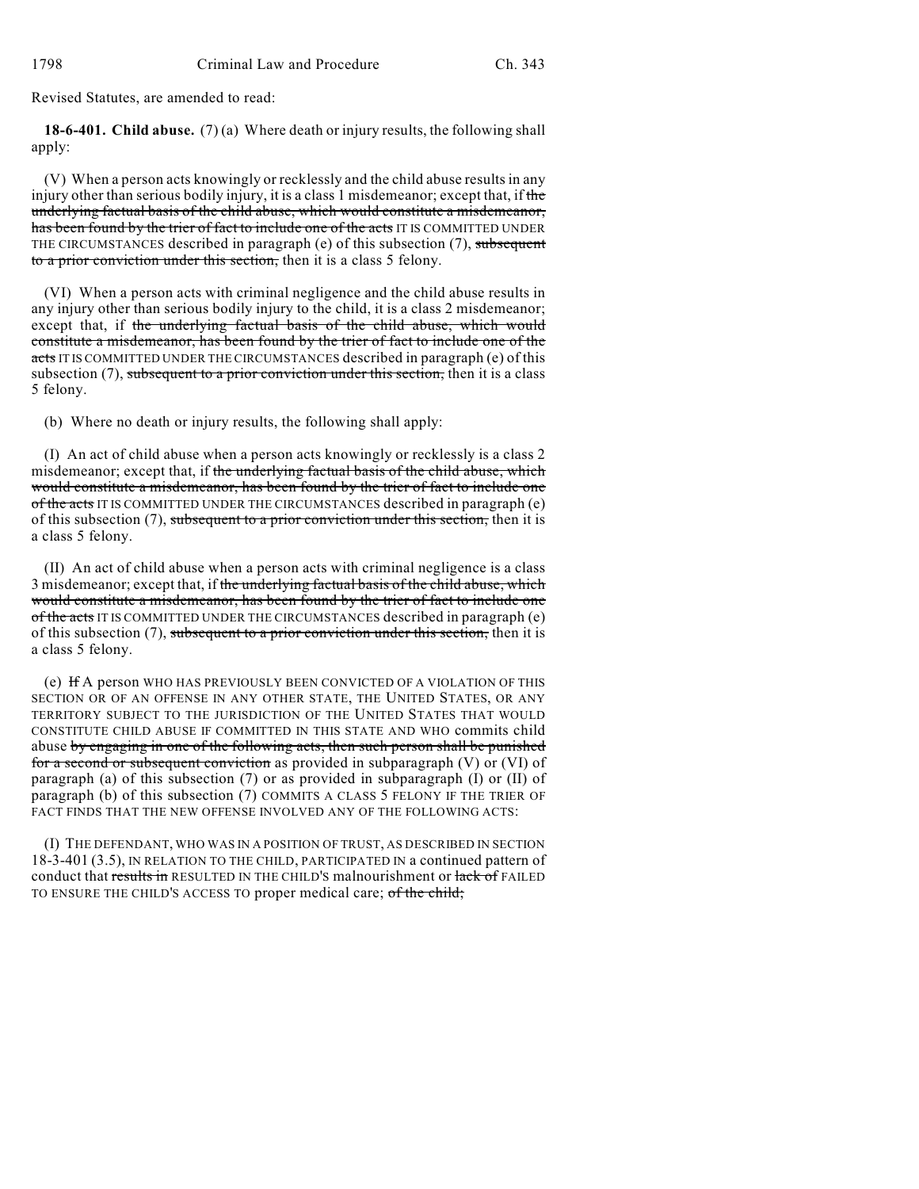Revised Statutes, are amended to read:

**18-6-401. Child abuse.** (7) (a) Where death or injury results, the following shall apply:

(V) When a person acts knowingly or recklessly and the child abuse results in any injury other than serious bodily injury, it is a class 1 misdemeanor; except that, if the underlying factual basis of the child abuse, which would constitute a misdemeanor, has been found by the trier of fact to include one of the acts IT IS COMMITTED UNDER THE CIRCUMSTANCES described in paragraph (e) of this subsection (7), subsequent to a prior conviction under this section, then it is a class 5 felony.

(VI) When a person acts with criminal negligence and the child abuse results in any injury other than serious bodily injury to the child, it is a class 2 misdemeanor; except that, if the underlying factual basis of the child abuse, which would constitute a misdemeanor, has been found by the trier of fact to include one of the acts IT IS COMMITTED UNDER THE CIRCUMSTANCES described in paragraph (e) of this subsection  $(7)$ , subsequent to a prior conviction under this section, then it is a class 5 felony.

(b) Where no death or injury results, the following shall apply:

(I) An act of child abuse when a person acts knowingly or recklessly is a class 2 misdemeanor; except that, if the underlying factual basis of the child abuse, which would constitute a misdemeanor, has been found by the trier of fact to include one of the acts IT IS COMMITTED UNDER THE CIRCUMSTANCES described in paragraph (e) of this subsection  $(7)$ , subsequent to a prior conviction under this section, then it is a class 5 felony.

(II) An act of child abuse when a person acts with criminal negligence is a class 3 misdemeanor; except that, if the underlying factual basis of the child abuse, which would constitute a misdemeanor, has been found by the trier of fact to include one of the acts IT IS COMMITTED UNDER THE CIRCUMSTANCES described in paragraph (e) of this subsection  $(7)$ , subsequent to a prior conviction under this section, then it is a class 5 felony.

(e) If A person WHO HAS PREVIOUSLY BEEN CONVICTED OF A VIOLATION OF THIS SECTION OR OF AN OFFENSE IN ANY OTHER STATE, THE UNITED STATES, OR ANY TERRITORY SUBJECT TO THE JURISDICTION OF THE UNITED STATES THAT WOULD CONSTITUTE CHILD ABUSE IF COMMITTED IN THIS STATE AND WHO commits child abuse by engaging in one of the following acts, then such person shall be punished for a second or subsequent conviction as provided in subparagraph (V) or (VI) of paragraph (a) of this subsection (7) or as provided in subparagraph (I) or (II) of paragraph (b) of this subsection (7) COMMITS A CLASS 5 FELONY IF THE TRIER OF FACT FINDS THAT THE NEW OFFENSE INVOLVED ANY OF THE FOLLOWING ACTS:

(I) THE DEFENDANT, WHO WAS IN A POSITION OF TRUST, AS DESCRIBED IN SECTION 18-3-401 (3.5), IN RELATION TO THE CHILD, PARTICIPATED IN a continued pattern of conduct that results in RESULTED IN THE CHILD'S malnourishment or lack of FAILED TO ENSURE THE CHILD'S ACCESS TO proper medical care; of the child;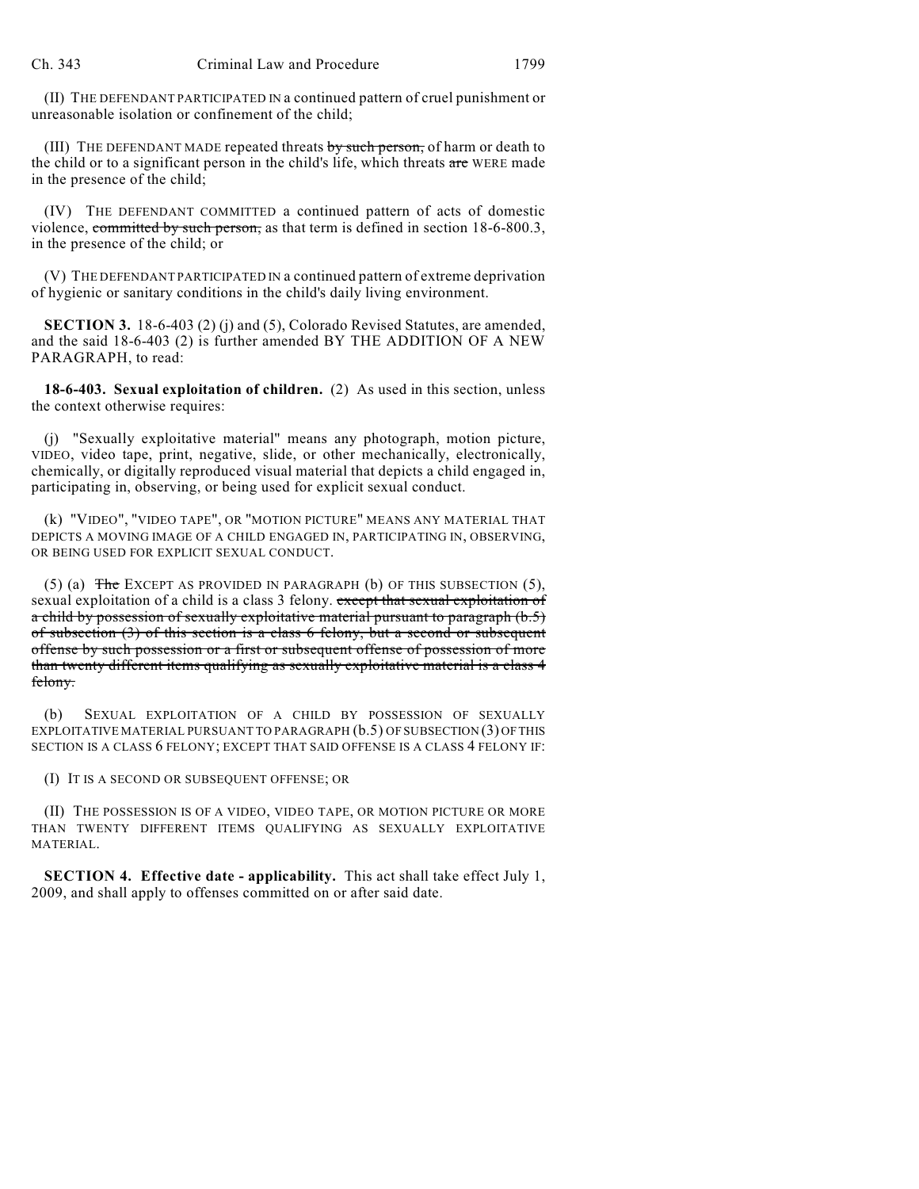(II) THE DEFENDANT PARTICIPATED IN a continued pattern of cruel punishment or unreasonable isolation or confinement of the child;

(III) THE DEFENDANT MADE repeated threats by such person, of harm or death to the child or to a significant person in the child's life, which threats are WERE made in the presence of the child;

(IV) THE DEFENDANT COMMITTED a continued pattern of acts of domestic violence, committed by such person, as that term is defined in section 18-6-800.3, in the presence of the child; or

(V) THE DEFENDANT PARTICIPATED IN a continued pattern of extreme deprivation of hygienic or sanitary conditions in the child's daily living environment.

**SECTION 3.** 18-6-403 (2) (i) and (5), Colorado Revised Statutes, are amended, and the said 18-6-403 (2) is further amended BY THE ADDITION OF A NEW PARAGRAPH, to read:

**18-6-403. Sexual exploitation of children.** (2) As used in this section, unless the context otherwise requires:

(j) "Sexually exploitative material" means any photograph, motion picture, VIDEO, video tape, print, negative, slide, or other mechanically, electronically, chemically, or digitally reproduced visual material that depicts a child engaged in, participating in, observing, or being used for explicit sexual conduct.

(k) "VIDEO", "VIDEO TAPE", OR "MOTION PICTURE" MEANS ANY MATERIAL THAT DEPICTS A MOVING IMAGE OF A CHILD ENGAGED IN, PARTICIPATING IN, OBSERVING, OR BEING USED FOR EXPLICIT SEXUAL CONDUCT.

(5) (a) The EXCEPT AS PROVIDED IN PARAGRAPH (b) OF THIS SUBSECTION (5), sexual exploitation of a child is a class 3 felony. except that sexual exploitation of a child by possession of sexually exploitative material pursuant to paragraph (b.5) of subsection  $(3)$  of this section is a class 6 felony, but a second or subsequent offense by such possession or a first or subsequent offense of possession of more than twenty different items qualifying as sexually exploitative material is a class 4 felony.

(b) SEXUAL EXPLOITATION OF A CHILD BY POSSESSION OF SEXUALLY EXPLOITATIVE MATERIAL PURSUANT TO PARAGRAPH (b.5) OF SUBSECTION (3) OF THIS SECTION IS A CLASS 6 FELONY; EXCEPT THAT SAID OFFENSE IS A CLASS 4 FELONY IF:

(I) IT IS A SECOND OR SUBSEQUENT OFFENSE; OR

(II) THE POSSESSION IS OF A VIDEO, VIDEO TAPE, OR MOTION PICTURE OR MORE THAN TWENTY DIFFERENT ITEMS QUALIFYING AS SEXUALLY EXPLOITATIVE MATERIAL.

**SECTION 4. Effective date - applicability.** This act shall take effect July 1, 2009, and shall apply to offenses committed on or after said date.